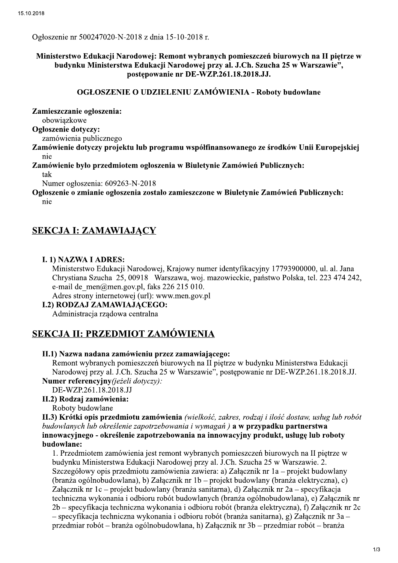Ogłoszenie nr 500247020-N-2018 z dnia 15-10-2018 r.

### Ministerstwo Edukacji Narodowej: Remont wybranych pomieszczeń biurowych na II piętrze w budynku Ministerstwa Edukacji Narodowej przy al. J.Ch. Szucha 25 w Warszawie", postepowanie nr DE-WZP.261.18.2018.JJ.

#### **OGŁOSZENIE O UDZIELENIU ZAMÓWIENIA - Roboty budowlane**

Zamieszczanie ogłoszenia:

obowiazkowe

Ogłoszenie dotyczy:

zamówienia publicznego

Zamówienie dotyczy projektu lub programu współfinansowanego ze środków Unii Europejskiej nie

Zamówienie było przedmiotem ogłoszenia w Biuletynie Zamówień Publicznych: tak

Numer ogłoszenia: 609263-N-2018

Ogłoszenie o zmianie ogłoszenia zostało zamieszczone w Biuletynie Zamówień Publicznych: nie

# **SEKCJA I: ZAMAWIAJACY**

### **I. 1) NAZWA I ADRES:**

Ministerstwo Edukacji Narodowej, Krajowy numer identyfikacyjny 17793900000, ul. al. Jana Chrystiana Szucha 25, 00918 Warszawa, woj. mazowieckie, państwo Polska, tel. 223 474 242, e-mail de men@men.gov.pl, faks 226 215 010.

Adres strony internetowej (url): www.men.gov.pl

**I.2) RODZAJ ZAMAWIAJACEGO:** 

Administracja rządowa centralna

# **SEKCJA II: PRZEDMIOT ZAMÓWIENIA**

#### II.1) Nazwa nadana zamówieniu przez zamawiającego:

Remont wybranych pomieszczeń biurowych na II piętrze w budynku Ministerstwa Edukacji Narodowej przy al. J.Ch. Szucha 25 w Warszawie", postępowanie nr DE-WZP.261.18.2018.JJ. Numer referencyjny(jeżeli dotyczy):

DE-WZP.261.18.2018.JJ

### II.2) Rodzaj zamówienia:

Roboty budowlane

II.3) Krótki opis przedmiotu zamówienia (wielkość, zakres, rodzaj i ilość dostaw, usług lub robót budowlanych lub określenie zapotrzebowania i wymagań) a w przypadku partnerstwa innowacyjnego - określenie zapotrzebowania na innowacyjny produkt, usługę lub roboty budowlane:

1. Przedmiotem zamówienia jest remont wybranych pomieszczeń biurowych na II piętrze w budynku Ministerstwa Edukacji Narodowej przy al. J.Ch. Szucha 25 w Warszawie. 2. Szczegółowy opis przedmiotu zamówienia zawiera: a) Załącznik nr 1a – projekt budowlany (branza ogólnobudowlana), b) Załącznik nr 1b – projekt budowlany (branza elektryczna), c) Załącznik nr 1c – projekt budowlany (branża sanitarna), d) Załącznik nr 2a – specyfikacja techniczna wykonania i odbioru robót budowlanych (branża ogólnobudowlana), e) Załącznik nr 2b – specyfikacja techniczna wykonania i odbioru robót (branża elektryczna), f) Załącznik nr 2c - specyfikacja techniczna wykonania i odbioru robót (branża sanitarna), g) Załącznik nr 3a przedmiar robót – branża ogólnobudowlana, h) Załącznik nr 3b – przedmiar robót – branża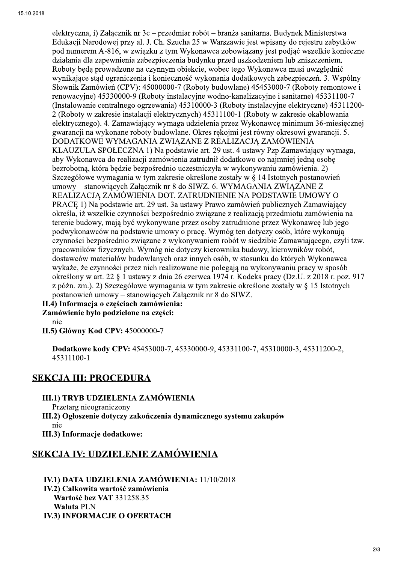elektryczna, i) Załącznik nr 3c – przedmiar robót – branża sanitarna. Budynek Ministerstwa Edukacji Narodowej przy al. J. Ch. Szucha 25 w Warszawie jest wpisany do rejestru zabytków pod numerem A-816, w związku z tym Wykonawca zobowiązany jest podjąć wszelkie konieczne działania dla zapewnienia zabezpieczenia budynku przed uszkodzeniem lub zniszczeniem. Roboty będą prowadzone na czynnym obiekcie, wobec tego Wykonawca musi uwzględnić wynikające stad ograniczenia i konieczność wykonania dodatkowych zabezpieczeń. 3. Wspólny Słownik Zamówień (CPV): 45000000-7 (Roboty budowlane) 45453000-7 (Roboty remontowe i renowacyjne) 45330000-9 (Roboty instalacyjne wodno-kanalizacyjne i sanitarne) 45331100-7 (Instalowanie centralnego ogrzewania) 45310000-3 (Roboty instalacyjne elektryczne) 45311200-2 (Roboty w zakresie instalacji elektrycznych) 45311100-1 (Roboty w zakresie okablowania elektrycznego). 4. Zamawiający wymaga udzielenia przez Wykonawcę minimum 36-miesięcznej gwarancji na wykonane roboty budowlane. Okres rekojmi jest równy okresowi gwarancji. 5. DODATKOWE WYMAGANIA ZWIĄZANE Z REALIZACJĄ ZAMÓWIENIA -KLAUZULA SPOŁECZNA 1) Na podstawie art. 29 ust. 4 ustawy Pzp Zamawiający wymaga, aby Wykonawca do realizacji zamówienia zatrudnił dodatkowo co najmniej jedną osobę bezrobotna, która będzie bezpośrednio uczestniczyła w wykonywaniu zamówienia. 2) Szczegółowe wymagania w tym zakresie określone zostały w § 14 Istotnych postanowień umowy – stanowiących Załącznik nr 8 do SIWZ. 6. WYMAGANIA ZWIĄZANE Z REALIZACJĄ ZAMÓWIENIA DOT. ZATRUDNIENIE NA PODSTAWIE UMOWY O PRACE 1) Na podstawie art. 29 ust. 3a ustawy Prawo zamówień publicznych Zamawiający określa, iż wszelkie czynności bezpośrednio związane z realizacją przedmiotu zamówienia na terenie budowy, mają być wykonywane przez osoby zatrudnione przez Wykonawcę lub jego podwykonawców na podstawie umowy o prace. Wymóg ten dotyczy osób, które wykonują czynności bezpośrednio związane z wykonywaniem robót w siedzibie Zamawiającego, czyli tzw. pracowników fizycznych. Wymóg nie dotyczy kierownika budowy, kierowników robót, dostawców materiałów budowlanych oraz innych osób, w stosunku do których Wykonawca wykaże, że czynności przez nich realizowane nie polegają na wykonywaniu pracy w sposób określony w art. 22 § 1 ustawy z dnia 26 czerwca 1974 r. Kodeks pracy (Dz.U. z 2018 r. poz. 917 z późn. zm.). 2) Szczegółowe wymagania w tym zakresie określone zostały w § 15 Istotnych postanowień umowy – stanowiących Załącznik nr 8 do SIWZ.

II.4) Informacja o częściach zamówienia:

Zamówienie było podzielone na części:

nie

II.5) Główny Kod CPV: 45000000-7

Dodatkowe kody CPV: 45453000-7, 45330000-9, 45331100-7, 45310000-3, 45311200-2, 45311100-1

# **SEKCJA III: PROCEDURA**

### III.1) TRYB UDZIELENIA ZAMÓWIENIA

Przetarg nieograniczony

III.2) Ogłoszenie dotyczy zakończenia dynamicznego systemu zakupów nie

III.3) Informacje dodatkowe:

# **SEKCJA IV: UDZIELENIE ZAMÓWIENIA**

IV.1) DATA UDZIELENIA ZAMÓWIENIA: 11/10/2018 IV.2) Całkowita wartość zamówienia Wartość bez VAT 331258.35 **Waluta PLN IV.3) INFORMACJE O OFERTACH**